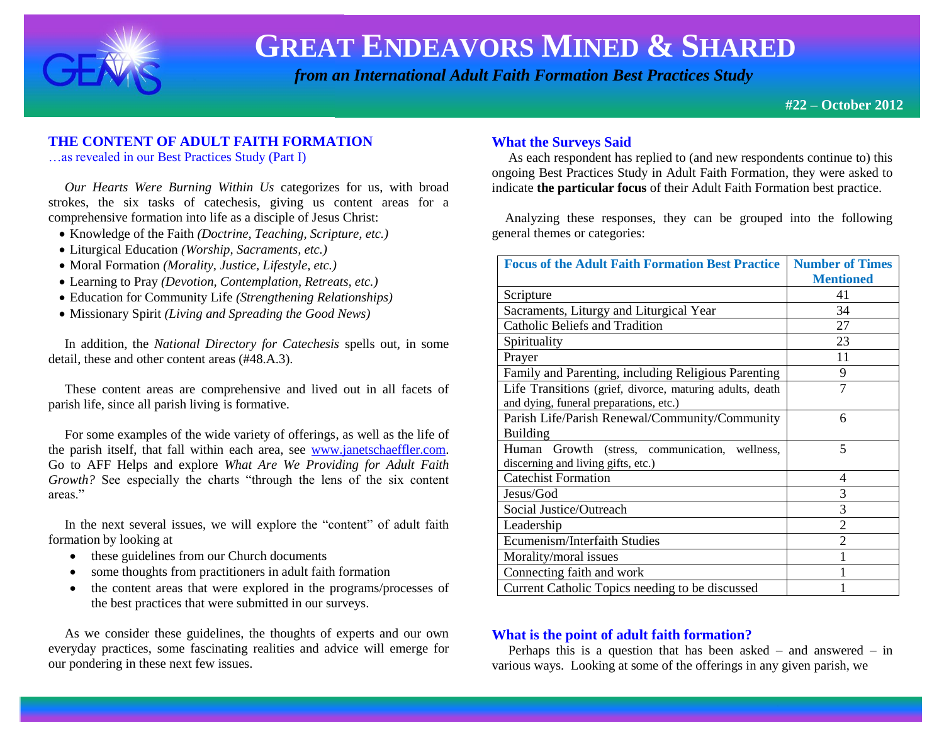

 *from an International Adult Faith Formation Best Practices Study*

**#22 – October 2012**

# **THE CONTENT OF ADULT FAITH FORMATION**

…as revealed in our Best Practices Study (Part I)

 *Our Hearts Were Burning Within Us* categorizes for us, with broad strokes, the six tasks of catechesis, giving us content areas for a comprehensive formation into life as a disciple of Jesus Christ:

- Knowledge of the Faith *(Doctrine, Teaching, Scripture, etc.)*
- Liturgical Education *(Worship, Sacraments, etc.)*
- Moral Formation *(Morality, Justice, Lifestyle, etc.)*
- Learning to Pray *(Devotion, Contemplation, Retreats, etc.)*
- Education for Community Life *(Strengthening Relationships)*
- Missionary Spirit *(Living and Spreading the Good News)*

 In addition, the *National Directory for Catechesis* spells out, in some detail, these and other content areas (#48.A.3).

 These content areas are comprehensive and lived out in all facets of parish life, since all parish living is formative.

 For some examples of the wide variety of offerings, as well as the life of the parish itself, that fall within each area, see [www.janetschaeffler.com.](http://www.janetschaeffler.com/) Go to AFF Helps and explore *What Are We Providing for Adult Faith Growth?* See especially the charts "through the lens of the six content areas."

 In the next several issues, we will explore the "content" of adult faith formation by looking at

- these guidelines from our Church documents
- some thoughts from practitioners in adult faith formation
- the content areas that were explored in the programs/processes of the best practices that were submitted in our surveys.

 As we consider these guidelines, the thoughts of experts and our own everyday practices, some fascinating realities and advice will emerge for our pondering in these next few issues.

# **What the Surveys Said**

 As each respondent has replied to (and new respondents continue to) this ongoing Best Practices Study in Adult Faith Formation, they were asked to indicate **the particular focus** of their Adult Faith Formation best practice.

 Analyzing these responses, they can be grouped into the following general themes or categories:

| <b>Focus of the Adult Faith Formation Best Practice</b>  | <b>Number of Times</b> |
|----------------------------------------------------------|------------------------|
|                                                          | <b>Mentioned</b>       |
| Scripture                                                | 41                     |
| Sacraments, Liturgy and Liturgical Year                  | 34                     |
| <b>Catholic Beliefs and Tradition</b>                    | 27                     |
| Spirituality                                             | 23                     |
| Prayer                                                   | 11                     |
| Family and Parenting, including Religious Parenting      | 9                      |
| Life Transitions (grief, divorce, maturing adults, death | $\overline{7}$         |
| and dying, funeral preparations, etc.)                   |                        |
| Parish Life/Parish Renewal/Community/Community           | 6                      |
| <b>Building</b>                                          |                        |
| Growth (stress, communication, wellness,<br>Human        | 5                      |
| discerning and living gifts, etc.)                       |                        |
| <b>Catechist Formation</b>                               | 4                      |
| Jesus/God                                                | 3                      |
| Social Justice/Outreach                                  | 3                      |
| Leadership                                               | $\overline{2}$         |
| Ecumenism/Interfaith Studies                             | $\overline{2}$         |
| Morality/moral issues                                    |                        |
| Connecting faith and work                                |                        |
| Current Catholic Topics needing to be discussed          |                        |

### **What is the point of adult faith formation?**

 Perhaps this is a question that has been asked – and answered – in various ways. Looking at some of the offerings in any given parish, we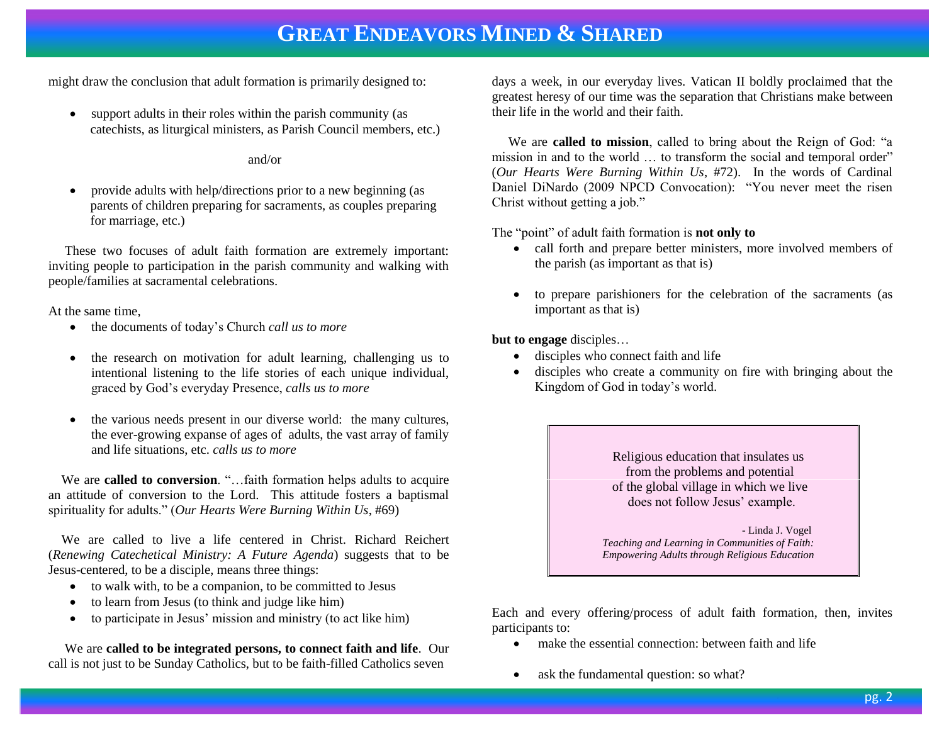might draw the conclusion that adult formation is primarily designed to:

 support adults in their roles within the parish community (as catechists, as liturgical ministers, as Parish Council members, etc.)

and/or

 provide adults with help/directions prior to a new beginning (as parents of children preparing for sacraments, as couples preparing for marriage, etc.)

 These two focuses of adult faith formation are extremely important: inviting people to participation in the parish community and walking with people/families at sacramental celebrations.

At the same time,

- the documents of today's Church *call us to more*
- the research on motivation for adult learning, challenging us to intentional listening to the life stories of each unique individual, graced by God's everyday Presence, *calls us to more*
- the various needs present in our diverse world: the many cultures, the ever-growing expanse of ages of adults, the vast array of family and life situations, etc. *calls us to more*

We are **called to conversion**. "...faith formation helps adults to acquire an attitude of conversion to the Lord. This attitude fosters a baptismal spirituality for adults." (*Our Hearts Were Burning Within Us*, #69)

 We are called to live a life centered in Christ. Richard Reichert (*Renewing Catechetical Ministry: A Future Agenda*) suggests that to be Jesus-centered, to be a disciple, means three things:

- to walk with, to be a companion, to be committed to Jesus
- to learn from Jesus (to think and judge like him)
- to participate in Jesus' mission and ministry (to act like him)

 We are **called to be integrated persons, to connect faith and life**. Our call is not just to be Sunday Catholics, but to be faith-filled Catholics seven

days a week, in our everyday lives. Vatican II boldly proclaimed that the greatest heresy of our time was the separation that Christians make between their life in the world and their faith.

 We are **called to mission**, called to bring about the Reign of God: "a mission in and to the world … to transform the social and temporal order" (*Our Hearts Were Burning Within Us*, #72). In the words of Cardinal Daniel DiNardo (2009 NPCD Convocation): "You never meet the risen Christ without getting a job."

The "point" of adult faith formation is **not only to**

- call forth and prepare better ministers, more involved members of the parish (as important as that is)
- to prepare parishioners for the celebration of the sacraments (as important as that is)

**but to engage** disciples…

- disciples who connect faith and life
- disciples who create a community on fire with bringing about the Kingdom of God in today's world.

Religious education that insulates us from the problems and potential of the global village in which we live does not follow Jesus' example.

 - Linda J. Vogel *Teaching and Learning in Communities of Faith: Empowering Adults through Religious Education*

Each and every offering/process of adult faith formation, then, invites participants to:

- make the essential connection: between faith and life
- ask the fundamental question: so what?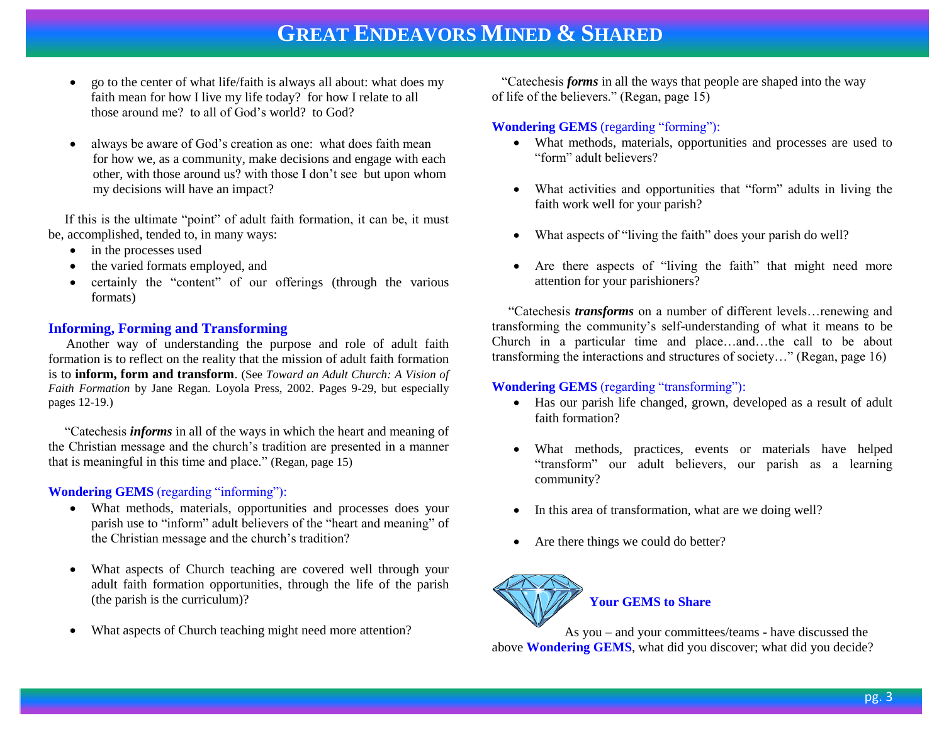- go to the center of what life/faith is always all about: what does my faith mean for how I live my life today? for how I relate to all those around me? to all of God's world? to God?
- always be aware of God's creation as one: what does faith mean for how we, as a community, make decisions and engage with each other, with those around us? with those I don't see but upon whom my decisions will have an impact?

 If this is the ultimate "point" of adult faith formation, it can be, it must be, accomplished, tended to, in many ways:

- in the processes used
- the varied formats employed, and
- certainly the "content" of our offerings (through the various formats)

# **Informing, Forming and Transforming**

Another way of understanding the purpose and role of adult faith formation is to reflect on the reality that the mission of adult faith formation is to **inform, form and transform**. (See *Toward an Adult Church: A Vision of Faith Formation* by Jane Regan. Loyola Press, 2002. Pages 9-29, but especially pages 12-19.)

 "Catechesis *informs* in all of the ways in which the heart and meaning of the Christian message and the church's tradition are presented in a manner that is meaningful in this time and place." (Regan, page 15)

#### **Wondering GEMS** (regarding "informing"):

- What methods, materials, opportunities and processes does your parish use to "inform" adult believers of the "heart and meaning" of the Christian message and the church's tradition?
- What aspects of Church teaching are covered well through your adult faith formation opportunities, through the life of the parish (the parish is the curriculum)?
- What aspects of Church teaching might need more attention?

 "Catechesis *forms* in all the ways that people are shaped into the way of life of the believers." (Regan, page 15)

### **Wondering GEMS** (regarding "forming"):

- What methods, materials, opportunities and processes are used to "form" adult believers?
- What activities and opportunities that "form" adults in living the faith work well for your parish?
- What aspects of "living the faith" does your parish do well?
- Are there aspects of "living the faith" that might need more attention for your parishioners?

 "Catechesis *transforms* on a number of different levels…renewing and transforming the community's self-understanding of what it means to be Church in a particular time and place…and…the call to be about transforming the interactions and structures of society…" (Regan, page 16)

### **Wondering GEMS** (regarding "transforming"):

- Has our parish life changed, grown, developed as a result of adult faith formation?
- What methods, practices, events or materials have helped "transform" our adult believers, our parish as a learning community?
- In this area of transformation, what are we doing well?
- Are there things we could do better?



As you – and your committees/teams - have discussed the above **Wondering GEMS**, what did you discover; what did you decide?